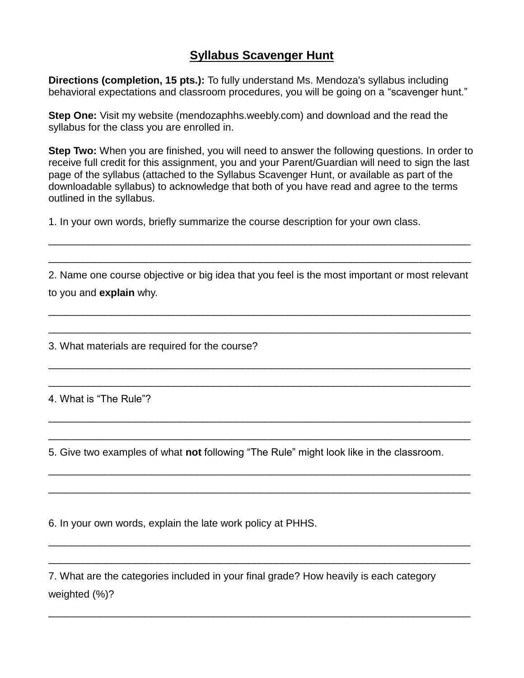## **Syllabus Scavenger Hunt**

**Directions (completion, 15 pts.):** To fully understand Ms. Mendoza's syllabus including behavioral expectations and classroom procedures, you will be going on a "scavenger hunt."

**Step One:** Visit my website (mendozaphhs.weebly.com) and download and the read the syllabus for the class you are enrolled in.

**Step Two:** When you are finished, you will need to answer the following questions. In order to receive full credit for this assignment, you and your Parent/Guardian will need to sign the last page of the syllabus (attached to the Syllabus Scavenger Hunt, or available as part of the downloadable syllabus) to acknowledge that both of you have read and agree to the terms outlined in the syllabus.

1. In your own words, briefly summarize the course description for your own class.

2. Name one course objective or big idea that you feel is the most important or most relevant to you and **explain** why.

\_\_\_\_\_\_\_\_\_\_\_\_\_\_\_\_\_\_\_\_\_\_\_\_\_\_\_\_\_\_\_\_\_\_\_\_\_\_\_\_\_\_\_\_\_\_\_\_\_\_\_\_\_\_\_\_\_\_\_\_\_\_\_\_\_\_\_\_\_\_\_\_\_\_

\_\_\_\_\_\_\_\_\_\_\_\_\_\_\_\_\_\_\_\_\_\_\_\_\_\_\_\_\_\_\_\_\_\_\_\_\_\_\_\_\_\_\_\_\_\_\_\_\_\_\_\_\_\_\_\_\_\_\_\_\_\_\_\_\_\_\_\_\_\_\_\_\_\_

\_\_\_\_\_\_\_\_\_\_\_\_\_\_\_\_\_\_\_\_\_\_\_\_\_\_\_\_\_\_\_\_\_\_\_\_\_\_\_\_\_\_\_\_\_\_\_\_\_\_\_\_\_\_\_\_\_\_\_\_\_\_\_\_\_\_\_\_\_\_\_\_\_\_

\_\_\_\_\_\_\_\_\_\_\_\_\_\_\_\_\_\_\_\_\_\_\_\_\_\_\_\_\_\_\_\_\_\_\_\_\_\_\_\_\_\_\_\_\_\_\_\_\_\_\_\_\_\_\_\_\_\_\_\_\_\_\_\_\_\_\_\_\_\_\_\_\_\_

\_\_\_\_\_\_\_\_\_\_\_\_\_\_\_\_\_\_\_\_\_\_\_\_\_\_\_\_\_\_\_\_\_\_\_\_\_\_\_\_\_\_\_\_\_\_\_\_\_\_\_\_\_\_\_\_\_\_\_\_\_\_\_\_\_\_\_\_\_\_\_\_\_\_

\_\_\_\_\_\_\_\_\_\_\_\_\_\_\_\_\_\_\_\_\_\_\_\_\_\_\_\_\_\_\_\_\_\_\_\_\_\_\_\_\_\_\_\_\_\_\_\_\_\_\_\_\_\_\_\_\_\_\_\_\_\_\_\_\_\_\_\_\_\_\_\_\_\_

\_\_\_\_\_\_\_\_\_\_\_\_\_\_\_\_\_\_\_\_\_\_\_\_\_\_\_\_\_\_\_\_\_\_\_\_\_\_\_\_\_\_\_\_\_\_\_\_\_\_\_\_\_\_\_\_\_\_\_\_\_\_\_\_\_\_\_\_\_\_\_\_\_\_

\_\_\_\_\_\_\_\_\_\_\_\_\_\_\_\_\_\_\_\_\_\_\_\_\_\_\_\_\_\_\_\_\_\_\_\_\_\_\_\_\_\_\_\_\_\_\_\_\_\_\_\_\_\_\_\_\_\_\_\_\_\_\_\_\_\_\_\_\_\_\_\_\_\_

\_\_\_\_\_\_\_\_\_\_\_\_\_\_\_\_\_\_\_\_\_\_\_\_\_\_\_\_\_\_\_\_\_\_\_\_\_\_\_\_\_\_\_\_\_\_\_\_\_\_\_\_\_\_\_\_\_\_\_\_\_\_\_\_\_\_\_\_\_\_\_\_\_\_

\_\_\_\_\_\_\_\_\_\_\_\_\_\_\_\_\_\_\_\_\_\_\_\_\_\_\_\_\_\_\_\_\_\_\_\_\_\_\_\_\_\_\_\_\_\_\_\_\_\_\_\_\_\_\_\_\_\_\_\_\_\_\_\_\_\_\_\_\_\_\_\_\_\_

\_\_\_\_\_\_\_\_\_\_\_\_\_\_\_\_\_\_\_\_\_\_\_\_\_\_\_\_\_\_\_\_\_\_\_\_\_\_\_\_\_\_\_\_\_\_\_\_\_\_\_\_\_\_\_\_\_\_\_\_\_\_\_\_\_\_\_\_\_\_\_\_\_\_

\_\_\_\_\_\_\_\_\_\_\_\_\_\_\_\_\_\_\_\_\_\_\_\_\_\_\_\_\_\_\_\_\_\_\_\_\_\_\_\_\_\_\_\_\_\_\_\_\_\_\_\_\_\_\_\_\_\_\_\_\_\_\_\_\_\_\_\_\_\_\_\_\_\_

\_\_\_\_\_\_\_\_\_\_\_\_\_\_\_\_\_\_\_\_\_\_\_\_\_\_\_\_\_\_\_\_\_\_\_\_\_\_\_\_\_\_\_\_\_\_\_\_\_\_\_\_\_\_\_\_\_\_\_\_\_\_\_\_\_\_\_\_\_\_\_\_\_\_

3. What materials are required for the course?

4. What is "The Rule"?

5. Give two examples of what **not** following "The Rule" might look like in the classroom.

6. In your own words, explain the late work policy at PHHS.

7. What are the categories included in your final grade? How heavily is each category weighted (%)?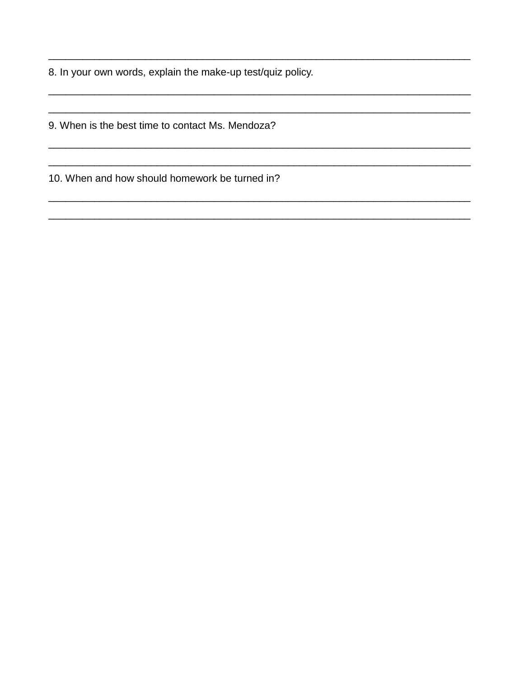8. In your own words, explain the make-up test/quiz policy.

9. When is the best time to contact Ms. Mendoza?

10. When and how should homework be turned in?